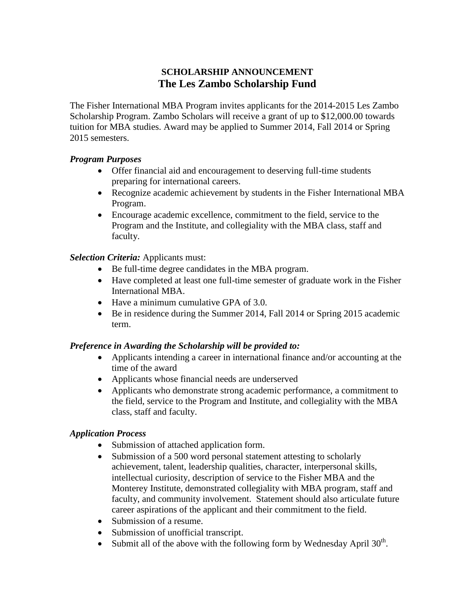## **SCHOLARSHIP ANNOUNCEMENT The Les Zambo Scholarship Fund**

The Fisher International MBA Program invites applicants for the 2014-2015 Les Zambo Scholarship Program. Zambo Scholars will receive a grant of up to \$12,000.00 towards tuition for MBA studies. Award may be applied to Summer 2014, Fall 2014 or Spring 2015 semesters.

#### *Program Purposes*

- Offer financial aid and encouragement to deserving full-time students preparing for international careers.
- Recognize academic achievement by students in the Fisher International MBA Program.
- Encourage academic excellence, commitment to the field, service to the Program and the Institute, and collegiality with the MBA class, staff and faculty.

### *Selection Criteria:* Applicants must:

- Be full-time degree candidates in the MBA program.
- Have completed at least one full-time semester of graduate work in the Fisher International MBA.
- Have a minimum cumulative GPA of 3.0.
- Be in residence during the Summer 2014, Fall 2014 or Spring 2015 academic term.

### *Preference in Awarding the Scholarship will be provided to:*

- Applicants intending a career in international finance and/or accounting at the time of the award
- Applicants whose financial needs are underserved
- Applicants who demonstrate strong academic performance, a commitment to the field, service to the Program and Institute, and collegiality with the MBA class, staff and faculty.

### *Application Process*

- Submission of attached application form.
- Submission of a 500 word personal statement attesting to scholarly achievement, talent, leadership qualities, character, interpersonal skills, intellectual curiosity, description of service to the Fisher MBA and the Monterey Institute, demonstrated collegiality with MBA program, staff and faculty, and community involvement. Statement should also articulate future career aspirations of the applicant and their commitment to the field.
- Submission of a resume.
- Submission of unofficial transcript.
- Submit all of the above with the following form by Wednesday April  $30<sup>th</sup>$ .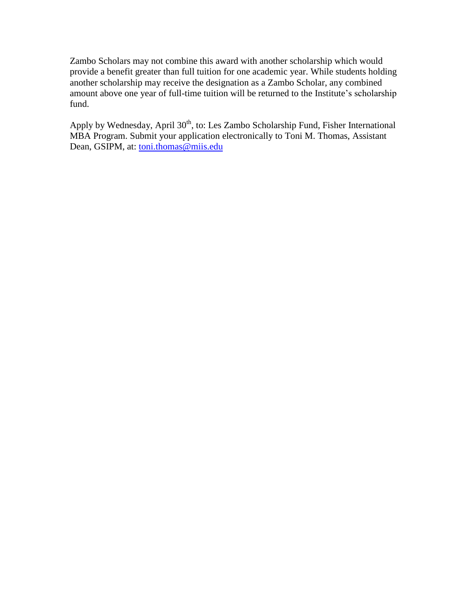Zambo Scholars may not combine this award with another scholarship which would provide a benefit greater than full tuition for one academic year. While students holding another scholarship may receive the designation as a Zambo Scholar, any combined amount above one year of full-time tuition will be returned to the Institute's scholarship fund.

Apply by Wednesday, April 30<sup>th</sup>, to: Les Zambo Scholarship Fund, Fisher International MBA Program. Submit your application electronically to Toni M. Thomas, Assistant Dean, GSIPM, at: [toni.thomas@miis.edu](mailto:toni.thomas@miis.edu)